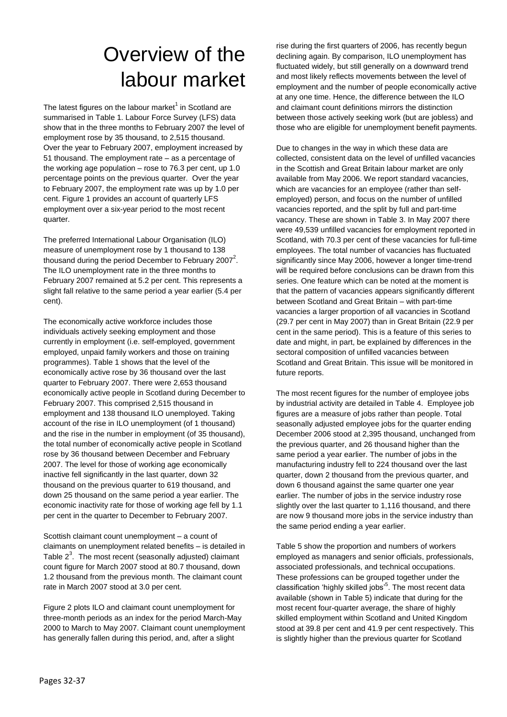# Overview of the labour market

The latest figures on the labour market $^1$  in Scotland are summarised in Table 1. Labour Force Survey (LFS) data show that in the three months to February 2007 the level of employment rose by 35 thousand, to 2,515 thousand. Over the year to February 2007, employment increased by 51 thousand. The employment rate – as a percentage of the working age population – rose to 76.3 per cent, up 1.0 percentage points on the previous quarter. Over the year to February 2007, the employment rate was up by 1.0 per cent. Figure 1 provides an account of quarterly LFS employment over a six-year period to the most recent quarter.

The preferred International Labour Organisation (ILO) measure of unemployment rose by 1 thousand to 138 thousand during the period December to February 2007<sup>2</sup>. The ILO unemployment rate in the three months to February 2007 remained at 5.2 per cent. This represents a slight fall relative to the same period a year earlier (5.4 per cent).

The economically active workforce includes those individuals actively seeking employment and those currently in employment (i.e. self-employed, government employed, unpaid family workers and those on training programmes). Table 1 shows that the level of the economically active rose by 36 thousand over the last quarter to February 2007. There were 2,653 thousand economically active people in Scotland during December to February 2007. This comprised 2,515 thousand in employment and 138 thousand ILO unemployed. Taking account of the rise in ILO unemployment (of 1 thousand) and the rise in the number in employment (of 35 thousand), the total number of economically active people in Scotland rose by 36 thousand between December and February 2007. The level for those of working age economically inactive fell significantly in the last quarter, down 32 thousand on the previous quarter to 619 thousand, and down 25 thousand on the same period a year earlier. The economic inactivity rate for those of working age fell by 1.1 per cent in the quarter to December to February 2007.

Scottish claimant count unemployment – a count of claimants on unemployment related benefits – is detailed in Table  $2^3$ . The most recent (seasonally adjusted) claimant count figure for March 2007 stood at 80.7 thousand, down 1.2 thousand from the previous month. The claimant count rate in March 2007 stood at 3.0 per cent.

Figure 2 plots ILO and claimant count unemployment for three-month periods as an index for the period March-May 2000 to March to May 2007. Claimant count unemployment has generally fallen during this period, and, after a slight

rise during the first quarters of 2006, has recently begun declining again. By comparison, ILO unemployment has fluctuated widely, but still generally on a downward trend and most likely reflects movements between the level of employment and the number of people economically active at any one time. Hence, the difference between the ILO and claimant count definitions mirrors the distinction between those actively seeking work (but are jobless) and those who are eligible for unemployment benefit payments.

Due to changes in the way in which these data are collected, consistent data on the level of unfilled vacancies in the Scottish and Great Britain labour market are only available from May 2006. We report standard vacancies, which are vacancies for an employee (rather than selfemployed) person, and focus on the number of unfilled vacancies reported, and the split by full and part-time vacancy. These are shown in Table 3. In May 2007 there were 49,539 unfilled vacancies for employment reported in Scotland, with 70.3 per cent of these vacancies for full-time employees. The total number of vacancies has fluctuated significantly since May 2006, however a longer time-trend will be required before conclusions can be drawn from this series. One feature which can be noted at the moment is that the pattern of vacancies appears significantly different between Scotland and Great Britain – with part-time vacancies a larger proportion of all vacancies in Scotland (29.7 per cent in May 2007) than in Great Britain (22.9 per cent in the same period). This is a feature of this series to date and might, in part, be explained by differences in the sectoral composition of unfilled vacancies between Scotland and Great Britain. This issue will be monitored in future reports.

The most recent figures for the number of employee jobs by industrial activity are detailed in Table 4. Employee job figures are a measure of jobs rather than people. Total seasonally adjusted employee jobs for the quarter ending December 2006 stood at 2,395 thousand, unchanged from the previous quarter, and 26 thousand higher than the same period a year earlier. The number of jobs in the manufacturing industry fell to 224 thousand over the last quarter, down 2 thousand from the previous quarter, and down 6 thousand against the same quarter one year earlier. The number of jobs in the service industry rose slightly over the last quarter to 1,116 thousand, and there are now 9 thousand more jobs in the service industry than the same period ending a year earlier.

Table 5 show the proportion and numbers of workers employed as managers and senior officials, professionals, associated professionals, and technical occupations. These professions can be grouped together under the classification 'highly skilled jobs'<sup>5</sup>. The most recent data available (shown in Table 5) indicate that during for the most recent four-quarter average, the share of highly skilled employment within Scotland and United Kingdom stood at 39.8 per cent and 41.9 per cent respectively. This is slightly higher than the previous quarter for Scotland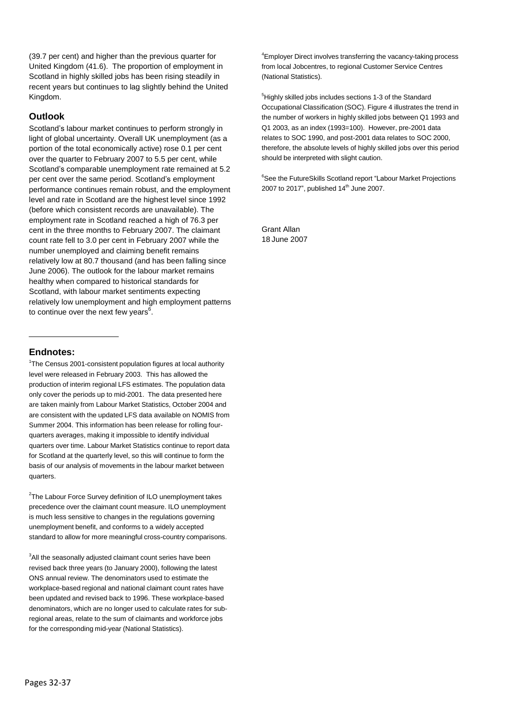(39.7 per cent) and higher than the previous quarter for United Kingdom (41.6). The proportion of employment in Scotland in highly skilled jobs has been rising steadily in recent years but continues to lag slightly behind the United Kingdom.

## **Outlook**

Scotland's labour market continues to perform strongly in light of global uncertainty. Overall UK unemployment (as a portion of the total economically active) rose 0.1 per cent over the quarter to February 2007 to 5.5 per cent, while Scotland's comparable unemployment rate remained at 5.2 per cent over the same period. Scotland's employment performance continues remain robust, and the employment level and rate in Scotland are the highest level since 1992 (before which consistent records are unavailable). The employment rate in Scotland reached a high of 76.3 per cent in the three months to February 2007. The claimant count rate fell to 3.0 per cent in February 2007 while the number unemployed and claiming benefit remains relatively low at 80.7 thousand (and has been falling since June 2006). The outlook for the labour market remains healthy when compared to historical standards for Scotland, with labour market sentiments expecting relatively low unemployment and high employment patterns to continue over the next few years $^6$ .

## **Endnotes:**

<sup>1</sup>The Census 2001-consistent population figures at local authority level were released in February 2003. This has allowed the production of interim regional LFS estimates. The population data only cover the periods up to mid-2001. The data presented here are taken mainly from Labour Market Statistics, October 2004 and are consistent with the updated LFS data available on NOMIS from Summer 2004. This information has been release for rolling fourquarters averages, making it impossible to identify individual quarters over time. Labour Market Statistics continue to report data for Scotland at the quarterly level, so this will continue to form the basis of our analysis of movements in the labour market between quarters.

<sup>2</sup>The Labour Force Survey definition of ILO unemployment takes precedence over the claimant count measure. ILO unemployment is much less sensitive to changes in the regulations governing unemployment benefit, and conforms to a widely accepted standard to allow for more meaningful cross-country comparisons.

<sup>3</sup>All the seasonally adjusted claimant count series have been revised back three years (to January 2000), following the latest ONS annual review. The denominators used to estimate the workplace-based regional and national claimant count rates have been updated and revised back to 1996. These workplace-based denominators, which are no longer used to calculate rates for subregional areas, relate to the sum of claimants and workforce jobs for the corresponding mid-year (National Statistics).

<sup>4</sup>Employer Direct involves transferring the vacancy-taking process from local Jobcentres, to regional Customer Service Centres (National Statistics).

<sup>5</sup>Highly skilled jobs includes sections 1-3 of the Standard Occupational Classification (SOC). Figure 4 illustrates the trend in the number of workers in highly skilled jobs between Q1 1993 and Q1 2003, as an index (1993=100). However, pre-2001 data relates to SOC 1990, and post-2001 data relates to SOC 2000, therefore, the absolute levels of highly skilled jobs over this period should be interpreted with slight caution.

<sup>6</sup>See the FutureSkills Scotland report "Labour Market Projections 2007 to 2017", published 14 th June 2007.

Grant Allan 18 June 2007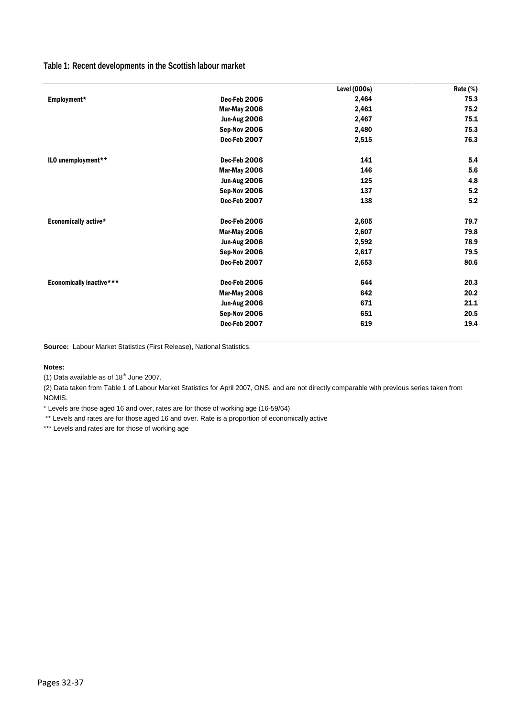## **Table 1: Recent developments in the Scottish labour market**

|                                 |                     | Level (000s) | Rate (%) |
|---------------------------------|---------------------|--------------|----------|
| Employment*                     | Dec-Feb 2006        | 2,464        | 75.3     |
|                                 | Mar-May 2006        | 2,461        | 75.2     |
|                                 | <b>Jun-Aug 2006</b> | 2,467        | 75.1     |
|                                 | Sep-Nov 2006        | 2,480        | 75.3     |
|                                 | Dec-Feb 2007        | 2,515        | 76.3     |
| ILO unemployment**              | Dec-Feb 2006        | 141          | 5.4      |
|                                 | Mar-May 2006        | 146          | 5.6      |
|                                 | <b>Jun-Aug 2006</b> | 125          | 4.8      |
|                                 | Sep-Nov 2006        | 137          | 5.2      |
|                                 | Dec-Feb 2007        | 138          | 5.2      |
| Economically active*            | Dec-Feb 2006        | 2,605        | 79.7     |
|                                 | Mar-May 2006        | 2,607        | 79.8     |
|                                 | <b>Jun-Aug 2006</b> | 2,592        | 78.9     |
|                                 | Sep-Nov 2006        | 2,617        | 79.5     |
|                                 | Dec-Feb 2007        | 2,653        | 80.6     |
| <b>Economically inactive***</b> | Dec-Feb 2006        | 644          | 20.3     |
|                                 | Mar-May 2006        | 642          | 20.2     |
|                                 | <b>Jun-Aug 2006</b> | 671          | 21.1     |
|                                 | Sep-Nov 2006        | 651          | 20.5     |
|                                 | Dec-Feb 2007        | 619          | 19.4     |

**Source:** Labour Market Statistics (First Release), National Statistics.

#### **Notes:**

(1) Data available as of  $18<sup>th</sup>$  June 2007.

(2) Data taken from Table 1 of Labour Market Statistics for April 2007, ONS, and are not directly comparable with previous series taken from NOMIS.

\* Levels are those aged 16 and over, rates are for those of working age (16-59/64)

\*\* Levels and rates are for those aged 16 and over. Rate is a proportion of economically active

\*\*\* Levels and rates are for those of working age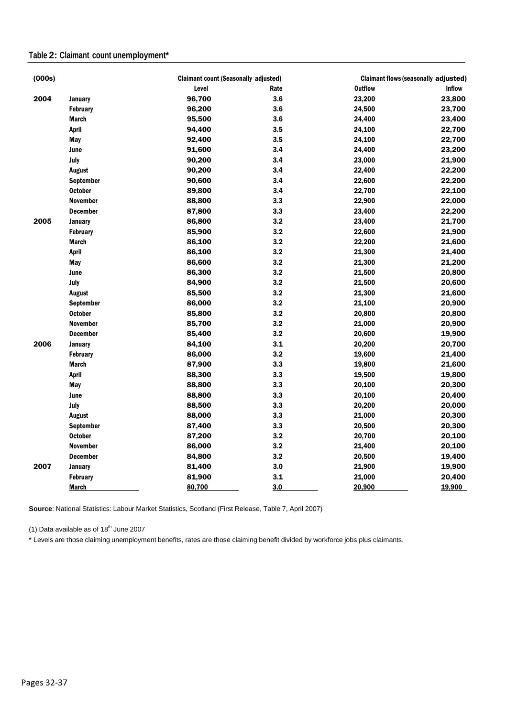## **Table 2: Claimant count unemployment\***

| (000s) |                  | <b>Claimant count (Seasonally adjusted)</b> |      | <b>Claimant flows (seasonally adjusted)</b> |               |  |
|--------|------------------|---------------------------------------------|------|---------------------------------------------|---------------|--|
|        |                  | Level                                       | Rate | <b>Outflow</b>                              | <b>Inflow</b> |  |
| 2004   | January          | 96,700                                      | 3.6  | 23,200                                      | 23,800        |  |
|        | <b>February</b>  | 96,200                                      | 3.6  | 24,500                                      | 23,700        |  |
|        | <b>March</b>     | 95,500                                      | 3.6  | 24,400                                      | 23,400        |  |
|        | April            | 94,400                                      | 3.5  | 24,100                                      | 22,700        |  |
|        | May              | 92,400                                      | 3.5  | 24,100                                      | 22,700        |  |
|        | June             | 91,600                                      | 3.4  | 24,400                                      | 23,200        |  |
|        | July             | 90,200                                      | 3.4  | 23,000                                      | 21,900        |  |
|        | August           | 90,200                                      | 3.4  | 22,400                                      | 22,200        |  |
|        | September        | 90,600                                      | 3.4  | 22,600                                      | 22,200        |  |
|        | <b>October</b>   | 89,800                                      | 3.4  | 22,700                                      | 22,100        |  |
|        | <b>November</b>  | 88,800                                      | 3.3  | 22,900                                      | 22,000        |  |
|        | <b>December</b>  | 87,800                                      | 3.3  | 23,400                                      | 22,200        |  |
| 2005   | January          | 86,800                                      | 3.2  | 23,400                                      | 21,700        |  |
|        | <b>February</b>  | 85,900                                      | 3.2  | 22,600                                      | 21,900        |  |
|        | <b>March</b>     | 86,100                                      | 3.2  | 22,200                                      | 21,600        |  |
|        | <b>April</b>     | 86,100                                      | 3.2  | 21,300                                      | 21,400        |  |
|        | May              | 86,600                                      | 3.2  | 21,300                                      | 21,200        |  |
|        | June             | 86,300                                      | 3.2  | 21,500                                      | 20,800        |  |
|        | July             | 84,900                                      | 3.2  | 21,500                                      | 20,600        |  |
|        | <b>August</b>    | 85,500                                      | 3.2  | 21,300                                      | 21,600        |  |
|        | <b>September</b> | 86,000                                      | 3.2  | 21,100                                      | 20,900        |  |
|        | <b>October</b>   | 85,800                                      | 3.2  | 20,800                                      | 20,800        |  |
|        | <b>November</b>  | 85,700                                      | 3.2  | 21,000                                      | 20,900        |  |
|        | <b>December</b>  | 85,400                                      | 3.2  | 20,600                                      | 19,900        |  |
| 2006   | <b>January</b>   | 84,100                                      | 3.1  | 20,200                                      | 20,700        |  |
|        | <b>February</b>  | 86,000                                      | 3.2  | 19,600                                      | 21,400        |  |
|        | <b>March</b>     | 87,900                                      | 3.3  | 19,800                                      | 21,600        |  |
|        | <b>April</b>     | 88,300                                      | 3.3  | 19,500                                      | 19,800        |  |
|        | May              | 88,800                                      | 3.3  | 20,100                                      | 20,300        |  |
|        | June             | 88,800                                      | 3.3  | 20,100                                      | 20,400        |  |
|        | July             | 88,500                                      | 3.3  | 20,200                                      | 20,000        |  |
|        | August           | 88,000                                      | 3.3  | 21,000                                      | 20,300        |  |
|        | September        | 87,400                                      | 3.3  | 20,500                                      | 20,300        |  |
|        | <b>October</b>   | 87,200                                      | 3.2  | 20,700                                      | 20,100        |  |
|        | <b>November</b>  | 86,000                                      | 3.2  | 21,400                                      | 20,100        |  |
|        | <b>December</b>  | 84,800                                      | 3.2  | 20,500                                      | 19,400        |  |
| 2007   | <b>January</b>   | 81,400                                      | 3.0  | 21,900                                      | 19,900        |  |
|        | <b>February</b>  | 81,900                                      | 3.1  | 21,000                                      | 20,400        |  |
|        | <b>March</b>     | 80,700                                      | 3.0  | 20,900                                      | 19,900        |  |

**Source**: National Statistics: Labour Market Statistics, Scotland (First Release, Table 7, April 2007)

(1) Data available as of  $18<sup>th</sup>$  June 2007

\* Levels are those claiming unemployment benefits, rates are those claiming benefit divided by workforce jobs plus claimants.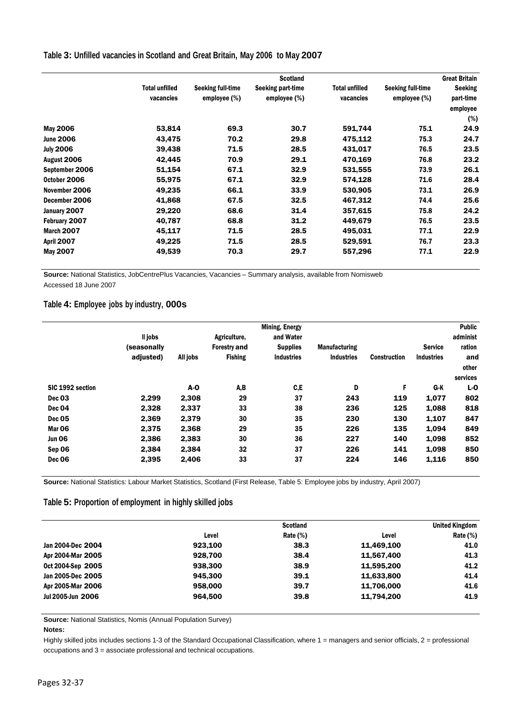#### **Table 3: Unfilled vacancies in Scotland and Great Britain, May 2006 to May 2007**

|                   |                       | <b>Great Britain</b><br><b>Scotland</b> |                   |                       |                   |                |
|-------------------|-----------------------|-----------------------------------------|-------------------|-----------------------|-------------------|----------------|
|                   | <b>Total unfilled</b> | Seeking full-time                       | Seeking part-time | <b>Total unfilled</b> | Seeking full-time | <b>Seeking</b> |
|                   | vacancies             | employee (%)                            | employee (%)      | vacancies             | employee (%)      | part-time      |
|                   |                       |                                         |                   |                       |                   | employee       |
|                   |                       |                                         |                   |                       |                   | (%)            |
| <b>May 2006</b>   | 53,814                | 69.3                                    | 30.7              | 591,744               | 75.1              | 24.9           |
| <b>June 2006</b>  | 43,475                | 70.2                                    | 29.8              | 475,112               | 75.3              | 24.7           |
| <b>July 2006</b>  | 39,438                | 71.5                                    | 28.5              | 431,017               | 76.5              | 23.5           |
| August 2006       | 42,445                | 70.9                                    | 29.1              | 470,169               | 76.8              | 23.2           |
| September 2006    | 51,154                | 67.1                                    | 32.9              | 531,555               | 73.9              | 26.1           |
| October 2006      | 55,975                | 67.1                                    | 32.9              | 574,128               | 71.6              | 28.4           |
| November 2006     | 49,235                | 66.1                                    | 33.9              | 530,905               | 73.1              | 26.9           |
| December 2006     | 41,868                | 67.5                                    | 32.5              | 467,312               | 74.4              | 25.6           |
| January 2007      | 29,220                | 68.6                                    | 31.4              | 357,615               | 75.8              | 24.2           |
| February 2007     | 40,787                | 68.8                                    | 31.2              | 449,679               | 76.5              | 23.5           |
| March 2007        | 45,117                | 71.5                                    | 28.5              | 495,031               | 77.1              | 22.9           |
| <b>April 2007</b> | 49,225                | 71.5                                    | 28.5              | 529,591               | 76.7              | 23.3           |
| May 2007          | 49,539                | 70.3                                    | 29.7              | 557,296               | 77.1              | 22.9           |

**Source:** National Statistics, JobCentrePlus Vacancies, Vacancies – Summary analysis, available from Nomisweb Accessed 18 June 2007

## **Table 4: Employee jobs by industry, 000s**

|                  |             |            |                     | <b>Mining, Energy</b> |                      |                     |                   | <b>Public</b> |
|------------------|-------------|------------|---------------------|-----------------------|----------------------|---------------------|-------------------|---------------|
|                  | Il jobs     |            | Agriculture.        | and Water             |                      |                     |                   | administ      |
|                  | (seasonally |            | <b>Forestry and</b> | <b>Supplies</b>       | <b>Manufacturing</b> |                     | <b>Service</b>    | ration        |
|                  | adjusted)   | All jobs   | <b>Fishing</b>      | <b>Industries</b>     | <b>Industries</b>    | <b>Construction</b> | <b>Industries</b> | and           |
|                  |             |            |                     |                       |                      |                     |                   | other         |
|                  |             |            |                     |                       |                      |                     |                   | services      |
| SIC 1992 section |             | <b>A-O</b> | A,B                 | C, E                  | D                    | F                   | G-K               | $L - 0$       |
| Dec 03           | 2,299       | 2,308      | 29                  | 37                    | 243                  | 119                 | 1,077             | 802           |
| Dec 04           | 2,328       | 2.337      | 33                  | 38                    | 236                  | 125                 | 1,088             | 818           |
| <b>Dec 05</b>    | 2,369       | 2,379      | 30                  | 35                    | 230                  | 130                 | 1,107             | 847           |
| Mar 06           | 2.375       | 2,368      | 29                  | 35                    | 226                  | 135                 | 1.094             | 849           |
| <b>Jun 06</b>    | 2,386       | 2,383      | 30                  | 36                    | 227                  | 140                 | 1,098             | 852           |
| Sep 06           | 2.384       | 2.384      | 32                  | 37                    | 226                  | 141                 | 1.098             | 850           |
| Dec 06           | 2,395       | 2,406      | 33                  | 37                    | 224                  | 146                 | 1,116             | 850           |

**Source:** National Statistics: Labour Market Statistics, Scotland (First Release, Table 5: Employee jobs by industry, April 2007)

#### **Table 5: Proportion of employment in highly skilled jobs**

|                   |         | <b>Scotland</b> |            | <b>United Kingdom</b> |
|-------------------|---------|-----------------|------------|-----------------------|
|                   | Level   | Rate $(\%)$     | Level      | Rate $(%)$            |
| Jan 2004-Dec 2004 | 923.100 | 38.3            | 11.469.100 | 41.0                  |
| Apr 2004-Mar 2005 | 928.700 | 38.4            | 11.567.400 | 41.3                  |
| Oct 2004-Sep 2005 | 938,300 | 38.9            | 11,595,200 | 41.2                  |
| Jan 2005-Dec 2005 | 945.300 | 39.1            | 11,633,800 | 41.4                  |
| Apr 2005-Mar 2006 | 958,000 | 39.7            | 11.706.000 | 41.6                  |
| Jul 2005-Jun 2006 | 964.500 | 39.8            | 11,794,200 | 41.9                  |

**Source:** National Statistics, Nomis (Annual Population Survey)

#### **Notes:**

Highly skilled jobs includes sections 1-3 of the Standard Occupational Classification, where 1 = managers and senior officials, 2 = professional occupations and 3 = associate professional and technical occupations.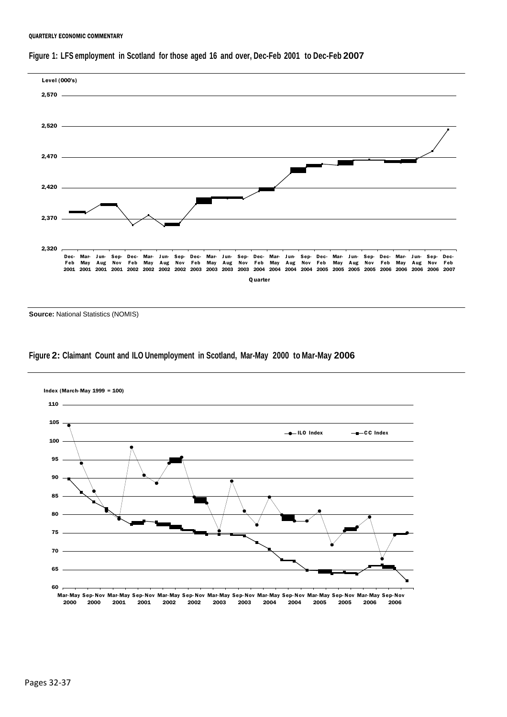#### QUARTERLY ECONOMIC COMMENTARY





**Source:** National Statistics (NOMIS)

#### **Figure 2: Claimant Count and ILO Unemployment in Scotland, Mar-May 2000 to Mar-May 2006**